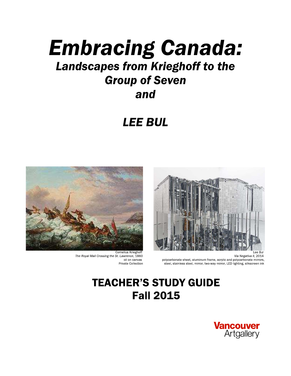# **Embracing Canada:** Landscapes from Krieghoff to the **Group of Seven** and

# **LEE BUL**



Via Negativa II, 2014 polycarbonate sheet, aluminum frame, acrylic and polycarbonate mirrors, steel, stainless steel, mirror, two-way mirror, LED lighting, silkscreen ink



Cornelius Krieghoff The Royal Mail Crossing the St. Lawrence, 1860 oil on canvas Private Collection

## **TEACHER'S STUDY GUIDE Fall 2015**

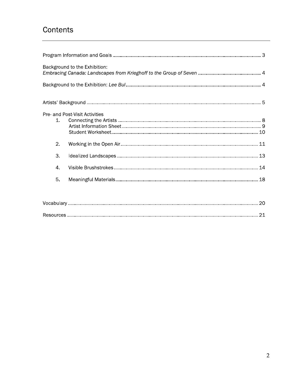## Contents

|         | Background to the Exhibition:  |  |
|---------|--------------------------------|--|
|         |                                |  |
|         |                                |  |
|         | Pre- and Post-Visit Activities |  |
| $1_{-}$ |                                |  |
|         |                                |  |
| 2.      |                                |  |
| 3.      |                                |  |
| 4.      |                                |  |
| 5.      |                                |  |
|         |                                |  |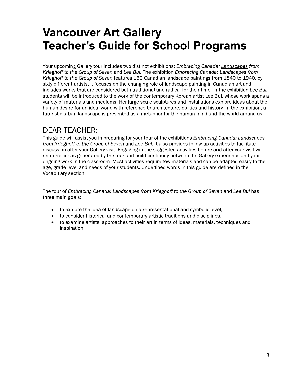# **Vancouver Art Gallery Teacher's Guide for School Programs**

Your upcoming Gallery tour includes two distinct exhibitions: Embracing Canada: Landscapes from Krieghoff to the Group of Seven and Lee Bul. The exhibition Embracing Canada: Landscapes from Krieghoff to the Group of Seven features 150 Canadian landscape paintings from 1840 to 1940, by sixty different artists. It focuses on the changing role of landscape painting in Canadian art and includes works that are considered both traditional and radical for their time. In the exhibition Lee Bul, students will be introduced to the work of the contemporary Korean artist Lee Bul, whose work spans a variety of materials and mediums. Her large-scale sculptures and installations explore ideas about the human desire for an ideal world with reference to architecture, politics and history. In the exhibition, a futuristic urban landscape is presented as a metaphor for the human mind and the world around us.

### **DEAR TEACHER:**

This guide will assist you in preparing for your tour of the exhibitions *Embracing Canada: Landscapes* from Krieghoff to the Group of Seven and Lee Bul. It also provides follow-up activities to facilitate discussion after your Gallery visit. Engaging in the suggested activities before and after your visit will reinforce ideas generated by the tour and build continuity between the Gallery experience and your ongoing work in the classroom. Most activities require few materials and can be adapted easily to the age, grade level and needs of your students. Underlined words in this guide are defined in the Vocabulary section.

The tour of Embracing Canada: Landscapes from Krieghoff to the Group of Seven and Lee Bul has three main goals:

- to explore the idea of landscape on a representational and symbolic level,  $\bullet$
- to consider historical and contemporary artistic traditions and disciplines,  $\bullet$
- to examine artists' approaches to their art in terms of ideas, materials, techniques and  $\bullet$ inspiration.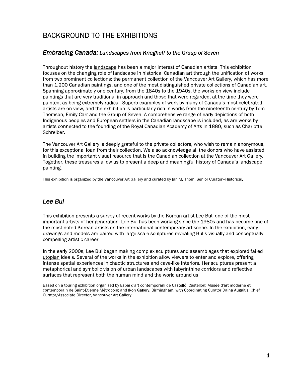### **Embracing Canada: Landscapes from Krieghoff to the Group of Seven**

Throughout history the landscape has been a major interest of Canadian artists. This exhibition focuses on the changing role of landscape in historical Canadian art through the unification of works from two prominent collections: the permanent collection of the Vancouver Art Gallery, which has more than 1,200 Canadian paintings, and one of the most distinguished private collections of Canadian art. Spanning approximately one century, from the 1840s to the 1940s, the works on view include paintings that are very traditional in approach and those that were regarded, at the time they were painted, as being extremely radical. Superb examples of work by many of Canada's most celebrated artists are on view, and the exhibition is particularly rich in works from the nineteenth century by Tom Thomson, Emily Carr and the Group of Seven. A comprehensive range of early depictions of both Indigenous peoples and European settlers in the Canadian landscape is included, as are works by artists connected to the founding of the Royal Canadian Academy of Arts in 1880, such as Charlotte Schreiber.

The Vancouver Art Gallery is deeply grateful to the private collectors, who wish to remain anonymous, for this exceptional loan from their collection. We also acknowledge all the donors who have assisted in building the important visual resource that is the Canadian collection at the Vancouver Art Gallery. Together, these treasures allow us to present a deep and meaningful history of Canada's landscape painting.

This exhibition is organized by the Vancouver Art Gallery and curated by lan M. Thom, Senior Curator-Historical.

### Lee Bul

This exhibition presents a survey of recent works by the Korean artist Lee Bul, one of the most important artists of her generation. Lee Bul has been working since the 1980s and has become one of the most noted Korean artists on the international contemporary art scene. In the exhibition, early drawings and models are paired with large-scale sculptures revealing Bul's visually and conceptually compelling artistic career.

In the early 2000s, Lee Bul began making complex sculptures and assemblages that explored failed utopian ideals. Several of the works in the exhibition allow viewers to enter and explore, offering intense spatial experiences in chaotic structures and cave-like interiors. Her sculptures present a metaphorical and symbolic vision of urban landscapes with labyrinthine corridors and reflective surfaces that represent both the human mind and the world around us.

Based on a touring exhibition organized by Espai d'art contemporani de Castelló, Castellon; Musée d'art moderne et contemporain de Saint-Étienne Métropole; and Ikon Gallery, Birmingham, with Coordinating Curator Daina Augaitis, Chief Curator/Associate Director, Vancouver Art Gallery.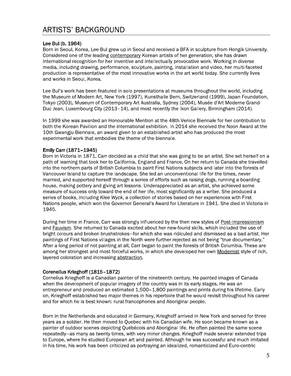#### Lee Bul (b. 1964)

Born in Seoul, Korea, Lee Bul grew up in Seoul and received a BFA in sculpture from Hongik University. Considered one of the leading contemporary Korean artists of her generation, she has drawn international recognition for her inventive and intellectually provocative work. Working in diverse media, including drawing, performance, sculpture, painting, installation and video, her multi-faceted production is representative of the most innovative works in the art world today. She currently lives and works in Seoul, Korea.

Lee Bul's work has been featured in solo presentations at museums throughout the world, including the Museum of Modern Art, New York (1997), Kunsthalle Bern, Switzerland (1999), Japan Foundation, Tokyo (2003), Museum of Contemporary Art Australia, Sydney (2004), Musée d'Art Moderne Grand-Duc Jean, Luxembourg City (2013-14), and most recently the Ikon Gallery, Birmingham (2014).

In 1999 she was awarded an Honourable Mention at the 48th Venice Biennale for her contribution to both the Korean Pavilion and the international exhibition. In 2014 she received the Noon Award at the 10th Gwangju Biennale, an award given to an established artist who has produced the most experimental work that embodies the theme of the biennale.

#### Emily Carr (1871-1945)

Born in Victoria in 1871, Carr decided as a child that she was going to be an artist. She set herself on a path of learning that took her to California, England and France. On her return to Canada she travelled into the northern parts of British Columbia to paint First Nations subjects and later into the forests of Vancouver Island to capture the landscape. She led an unconventional life for the times, never married, and supported herself through a series of efforts such as raising dogs, running a boarding house, making pottery and giving art lessons. Underappreciated as an artist, she achieved some measure of success only toward the end of her life, most significantly as a writer. She produced a series of books, including Klee Wyck, a collection of stories based on her experiences with First Nations people, which won the Governor General's Award for Literature in 1941. She died in Victoria in 1945.

During her time in France, Carr was strongly influenced by the then new styles of Post-Impressionism and Fauvism. She returned to Canada excited about her new-found skills, which included the use of bright colours and broken brushstrokes–for which she was ridiculed and dismissed as a bad artist. Her paintings of First Nations villages in the North were further rejected as not being "true documentary." After a long period of not painting at all, Carr began to paint the forests of British Columbia. These are among her strongest and most forceful works, in which she developed her own Modernist style of rich, layered coloration and increasing abstraction.

#### Corenelius Krieghoff (1815-1872)

Cornelius Krieghoff is a Canadian painter of the nineteenth century. He painted images of Canada when the development of popular imagery of the country was in its early stages. He was an entrepreneur and produced an estimated 1,500-1,800 paintings and prints during his lifetime. Early on, Krieghoff established two major themes in his repertoire that he would revisit throughout his career and for which he is best known: rural francophones and Aboriginal people.

Born in the Netherlands and educated in Germany, Krieghoff arrived in New York and served for three years as a soldier. He then moved to Ouebec with his Canadian wife. He soon became known as a painter of outdoor scenes depicting Québécois and Aboriginal life. He often painted the same scene repeatedly—as many as twenty times, with very minor changes. Krieghoff made several extended trips to Europe, where he studied European art and painted. Although he was successful and much imitated in his time, his work has been criticized as portraying an idealized, romanticized and Euro-centric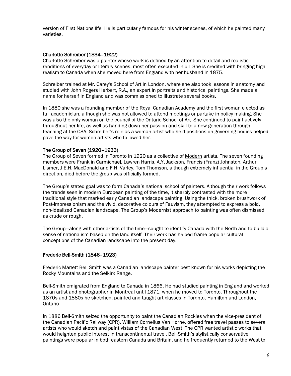version of First Nations life. He is particularly famous for his winter scenes, of which he painted many varieties.

#### Charlotte Schreiber (1834-1922)

Charlotte Schreiber was a painter whose work is defined by an attention to detail and realistic renditions of everyday or literary scenes, most often executed in oil. She is credited with bringing high realism to Canada when she moved here from England with her husband in 1875.

Schreiber trained at Mr. Carey's School of Art in London, where she also took lessons in anatomy and studied with John Rogers Herbert, R.A., an expert in portraits and historical paintings. She made a name for herself in England and was commissioned to illustrate several books.

In 1880 she was a founding member of the Royal Canadian Academy and the first woman elected as full academician, although she was not allowed to attend meetings or partake in policy making. She was also the only woman on the council of the Ontario School of Art. She continued to paint actively throughout her life, as well as handing down her passion and skill to a new generation through teaching at the OSA. Schreiber's role as a woman artist who held positions on governing bodies helped pave the way for women artists who followed her.

#### The Group of Seven (1920-1933)

The Group of Seven formed in Toronto in 1920 as a collective of Modern artists. The seven founding members were Franklin Carmichael, Lawren Harris, A.Y. Jackson, Francis (Franz) Johnston, Arthur Lismer. J.E.H. MacDonald and F.H. Varley. Tom Thomson, although extremely influential in the Group's direction, died before the group was officially formed.

The Group's stated goal was to form Canada's national school of painters. Although their work follows the trends seen in modern European painting of the time, it sharply contrasted with the more traditional style that marked early Canadian landscape painting. Using the thick, broken brushwork of Post-Impressionism and the vivid, decorative colours of Fauvism, they attempted to express a bold, non-idealized Canadian landscape. The Group's Modernist approach to painting was often dismissed as crude or rough.

The Group-along with other artists of the time-sought to identify Canada with the North and to build a sense of nationalism based on the land itself. Their work has helped frame popular cultural conceptions of the Canadian landscape into the present day.

#### Frederic Bell-Smith (1846-1923)

Frederic Marlett Bell-Smith was a Canadian landscape painter best known for his works depicting the Rocky Mountains and the Selkirk Range.

Bell-Smith emigrated from England to Canada in 1866. He had studied painting in England and worked as an artist and photographer in Montreal until 1871, when he moved to Toronto. Throughout the 1870s and 1880s he sketched, painted and taught art classes in Toronto, Hamilton and London, Ontario.

In 1886 Bell-Smith seized the opportunity to paint the Canadian Rockies when the vice-president of the Canadian Pacific Railway (CPR), William Cornelius Van Horne, offered free travel passes to several artists who would sketch and paint vistas of the Canadian West. The CPR wanted artistic works that would heighten public interest in transcontinental travel. Bell-Smith's stylistically conservative paintings were popular in both eastern Canada and Britain, and he frequently returned to the West to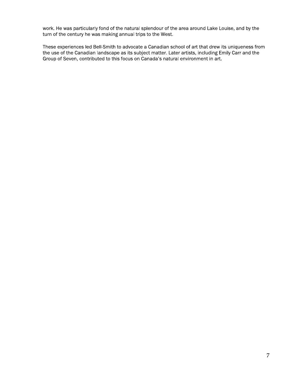work. He was particularly fond of the natural splendour of the area around Lake Louise, and by the turn of the century he was making annual trips to the West.

These experiences led Bell-Smith to advocate a Canadian school of art that drew its uniqueness from the use of the Canadian landscape as its subject matter. Later artists, including Emily Carr and the Group of Seven, contributed to this focus on Canada's natural environment in art.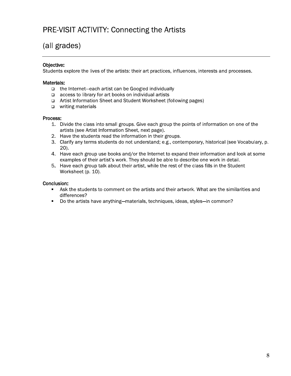### PRE-VISIT ACTIVITY: Connecting the Artists

### (all grades)

#### Objective:

Students explore the lives of the artists: their art practices, influences, interests and processes.

#### Materials:

- □ the Internet-each artist can be Googled individually
- access to library for art books on individual artists
- □ Artist Information Sheet and Student Worksheet (following pages)
- $\Box$  writing materials

#### Process:

- 1. Divide the class into small groups. Give each group the points of information on one of the artists (see Artist Information Sheet, next page).
- 2. Have the students read the information in their groups.
- 3. Clarify any terms students do not understand; e.g., contemporary, historical (see Vocabulary, p.  $20$ .
- 4. Have each group use books and/or the Internet to expand their information and look at some examples of their artist's work. They should be able to describe one work in detail.
- 5. Have each group talk about their artist, while the rest of the class fills in the Student Worksheet (p. 10).

- Ask the students to comment on the artists and their artwork. What are the similarities and  $\blacksquare$ differences?
- Do the artists have anything-materials, techniques, ideas, styles-in common?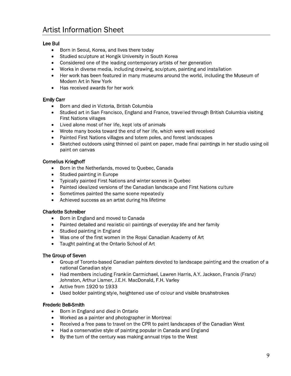### **Artist Information Sheet**

#### Lee Bul

- Born in Seoul, Korea, and lives there today  $\bullet$
- Studied sculpture at Hongik University in South Korea
- Considered one of the leading contemporary artists of her generation  $\bullet$
- Works in diverse media, including drawing, sculpture, painting and installation  $\bullet$
- Her work has been featured in many museums around the world, including the Museum of  $\bullet$ Modern Art in New York
- Has received awards for her work  $\bullet$

#### **Emily Carr**

- Born and died in Victoria, British Columbia  $\bullet$
- Studied art in San Francisco, England and France, travelled through British Columbia visiting  $\bullet$ **First Nations villages**
- Lived alone most of her life, kept lots of animals  $\bullet$
- Wrote many books toward the end of her life, which were well received  $\bullet$
- Painted First Nations villages and totem poles, and forest landscapes  $\bullet$
- Sketched outdoors using thinned oil paint on paper, made final paintings in her studio using oil  $\bullet$ paint on canvas

#### **Cornelius Krieghoff**

- Born in the Netherlands, moved to Quebec, Canada  $\bullet$
- $\bullet$ Studied painting in Europe
- Typically painted First Nations and winter scenes in Quebec  $\bullet$
- Painted idealized versions of the Canadian landscape and First Nations culture  $\bullet$
- Sometimes painted the same scene repeatedly  $\bullet$
- Achieved success as an artist during his lifetime  $\bullet$

#### **Charlotte Schreiber**

- Born in England and moved to Canada  $\bullet$
- Painted detailed and realistic oil paintings of everyday life and her family  $\bullet$
- Studied painting in England  $\bullet$
- Was one of the first women in the Royal Canadian Academy of Art
- $\bullet$ Taught painting at the Ontario School of Art

#### The Group of Seven

- Group of Toronto-based Canadian painters devoted to landscape painting and the creation of a national Canadian style
- Had members including Franklin Carmichael, Lawren Harris, A.Y. Jackson, Francis (Franz)  $\bullet$ Johnston, Arthur Lismer, J.E.H. MacDonald, F.H. Varley
- Active from 1920 to 1933  $\bullet$
- Used bolder painting style, heightened use of colour and visible brushstrokes  $\bullet$

#### **Frederic Bell-Smith**

- $\bullet$ Born in England and died in Ontario
- Worked as a painter and photographer in Montreal  $\bullet$
- Received a free pass to travel on the CPR to paint landscapes of the Canadian West
- Had a conservative style of painting popular in Canada and England  $\bullet$
- By the turn of the century was making annual trips to the West  $\bullet$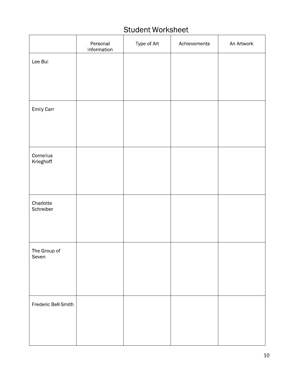## **Student Worksheet**

|                        | Personal<br>Information | Type of Art | Achievements | An Artwork |
|------------------------|-------------------------|-------------|--------------|------------|
| Lee Bul                |                         |             |              |            |
|                        |                         |             |              |            |
|                        |                         |             |              |            |
| Emily Carr             |                         |             |              |            |
|                        |                         |             |              |            |
|                        |                         |             |              |            |
| Cornelius<br>Krieghoff |                         |             |              |            |
|                        |                         |             |              |            |
|                        |                         |             |              |            |
| Charlotte<br>Schreiber |                         |             |              |            |
|                        |                         |             |              |            |
|                        |                         |             |              |            |
| The Group of<br>Seven  |                         |             |              |            |
|                        |                         |             |              |            |
|                        |                         |             |              |            |
| Frederic Bell-Smith    |                         |             |              |            |
|                        |                         |             |              |            |
|                        |                         |             |              |            |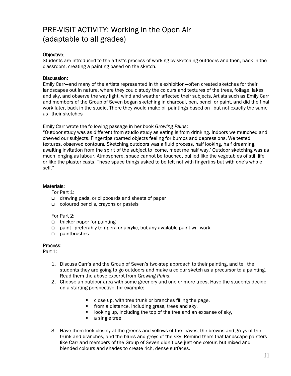### PRE-VISIT ACTIVITY: Working in the Open Air (adaptable to all grades)

#### Objective:

Students are introduced to the artist's process of working by sketching outdoors and then, back in the classroom, creating a painting based on the sketch.

#### Discussion:

Emily Carr—and many of the artists represented in this exhibition—often created sketches for their landscapes out in nature, where they could study the colours and textures of the trees, foliage, lakes and sky, and observe the way light, wind and weather affected their subjects. Artists such as Emily Carr and members of the Group of Seven began sketching in charcoal, pen, pencil or paint, and did the final work later, back in the studio. There they would make oil paintings based on—but not exactly the same as-their sketches.

Emily Carr wrote the following passage in her book Growing Pains:

"Outdoor study was as different from studio study as eating is from drinking. Indoors we munched and chewed our subjects. Fingertips roamed objects feeling for bumps and depressions. We tested textures, observed contours. Sketching outdoors was a fluid process, half looking, half dreaming, awaiting invitation from the spirit of the subject to 'come, meet me half way.' Outdoor sketching was as much longing as labour. Atmosphere, space cannot be touched, bullied like the vegetables of still life or like the plaster casts. These space things asked to be felt not with fingertips but with one's whole self."

#### Materials:

For Part 1:

- drawing pads, or clipboards and sheets of paper
- coloured pencils, crayons or pastels

#### For Part 2:

- $\Box$  thicker paper for painting
- $\Box$ paint-preferably tempera or acrylic, but any available paint will work
- $\Box$ paintbrushes

#### Process:

Part 1:

- 1. Discuss Carr's and the Group of Seven's two-step approach to their painting, and tell the students they are going to go outdoors and make a colour sketch as a precursor to a painting. Read them the above excerpt from Growing Pains.
- 2. Choose an outdoor area with some greenery and one or more trees. Have the students decide on a starting perspective; for example:
	- close up, with tree trunk or branches filling the page,
	- from a distance, including grass, trees and sky,
	- looking up, including the top of the tree and an expanse of sky.
	- $\blacksquare$ a single tree.
- 3. Have them look closely at the greens and yellows of the leaves, the browns and greys of the trunk and branches, and the blues and greys of the sky. Remind them that landscape painters like Carr and members of the Group of Seven didn't use just one colour, but mixed and blended colours and shades to create rich, dense surfaces.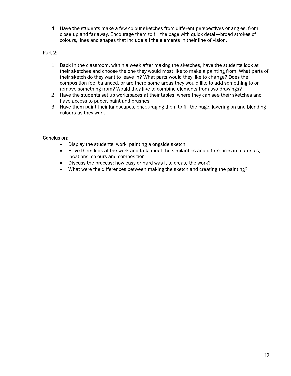4. Have the students make a few colour sketches from different perspectives or angles, from close up and far away. Encourage them to fill the page with quick detail-broad strokes of colours, lines and shapes that include all the elements in their line of vision.

#### Part 2:

- 1. Back in the classroom, within a week after making the sketches, have the students look at their sketches and choose the one they would most like to make a painting from. What parts of their sketch do they want to leave in? What parts would they like to change? Does the composition feel balanced, or are there some areas they would like to add something to or remove something from? Would they like to combine elements from two drawings?
- 2. Have the students set up workspaces at their tables, where they can see their sketches and have access to paper, paint and brushes.
- 3. Have them paint their landscapes, encouraging them to fill the page, layering on and blending colours as they work.

- Display the students' work: painting alongside sketch.  $\bullet$
- Have them look at the work and talk about the similarities and differences in materials,  $\bullet$ locations, colours and composition.
- Discuss the process: how easy or hard was it to create the work?  $\bullet$
- What were the differences between making the sketch and creating the painting?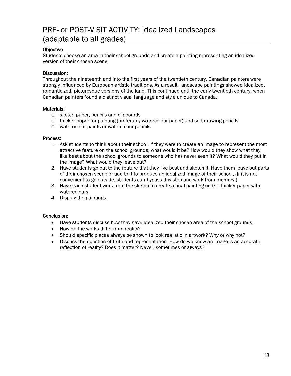### PRE- or POST-VISIT ACTIVITY: Idealized Landscapes (adaptable to all grades)

#### Objective:

Students choose an area in their school grounds and create a painting representing an idealized version of their chosen scene.

#### Discussion:

Throughout the nineteenth and into the first years of the twentieth century, Canadian painters were strongly influenced by European artistic traditions. As a result, landscape paintings showed idealized, romanticized, picturesque versions of the land. This continued until the early twentieth century, when Canadian painters found a distinct visual language and style unique to Canada.

#### Materials:

- sketch paper, pencils and clipboards
- $\Box$  thicker paper for painting (preferably watercolour paper) and soft drawing pencils
- □ watercolour paints or watercolour pencils

#### Process:

- 1. Ask students to think about their school. If they were to create an image to represent the most attractive feature on the school grounds, what would it be? How would they show what they like best about the school grounds to someone who has never seen it? What would they put in the image? What would they leave out?
- 2. Have students go out to the feature that they like best and sketch it. Have them leave out parts of their chosen scene or add to it to produce an idealized image of their school. (If it is not convenient to go outside, students can bypass this step and work from memory.)
- 3. Have each student work from the sketch to create a final painting on the thicker paper with watercolours.
- 4. Display the paintings.

- Have students discuss how they have idealized their chosen area of the school grounds.  $\bullet$
- How do the works differ from reality?  $\bullet$
- Should specific places always be shown to look realistic in artwork? Why or why not?
- Discuss the question of truth and representation. How do we know an image is an accurate  $\bullet$ reflection of reality? Does it matter? Never, sometimes or always?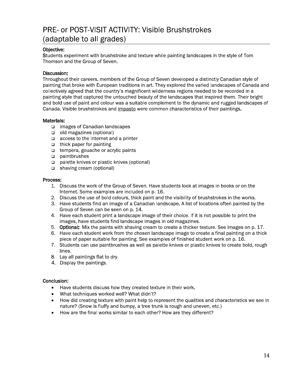### PRE- or POST-VISIT ACTIVITY: Visible Brushstrokes (adaptable to all grades)

#### Objective:

Students experiment with brushstroke and texture while painting landscapes in the style of Tom Thomson and the Group of Seven.

#### Discussion:

Throughout their careers, members of the Group of Seven developed a distinctly Canadian style of painting that broke with European traditions in art. They explored the varied landscapes of Canada and collectively agreed that the country's magnificent wilderness regions needed to be recorded in a painting style that captured the untouched beauty of the landscapes that inspired them. Their bright and bold use of paint and colour was a suitable complement to the dynamic and rugged landscapes of Canada. Visible brushstrokes and impasto were common characteristics of their paintings.

#### Materials:

- images of Canadian landscapes
- $\Box$  old magazines (optional)
- $\Box$  access to the Internet and a printer
- $\Box$  thick paper for painting
- tempera, gouache or acrylic paints
- $\Box$  paintbrushes
- palette knives or plastic knives (optional)
- $\Box$  shaving cream (optional)

#### Process:

- 1. Discuss the work of the Group of Seven. Have students look at images in books or on the Internet. Some examples are included on p. 16.
- 2. Discuss the use of bold colours, thick paint and the visibility of brushstrokes in the works.
- 3. Have students find an image of a Canadian landscape. A list of locations often painted by the Group of Seven can be seen on p. 14.
- 4. Have each student print a landscape image of their choice. If it is not possible to print the images, have students find landscape images in old magazines.
- 5. Optional: Mix the paints with shaving cream to create a thicker texture. See images on p. 17.
- 6. Have each student work from the chosen landscape image to create a final painting on a thick piece of paper suitable for painting. See examples of finished student work on p. 16.
- 7. Students can use paintbrushes as well as palette knives or plastic knives to create bold, rough lines.
- 8. Lay all paintings flat to dry.
- 4. Display the paintings.

- Have students discuss how they created texture in their work.  $\bullet$
- What techniques worked well? What didn't?  $\bullet$
- How did creating texture with paint help to represent the qualities and characteristics we see in  $\bullet$ nature? (Snow is fluffy and bumpy, a tree trunk is rough and uneven, etc.)
- How are the final works similar to each other? How are they different?  $\bullet$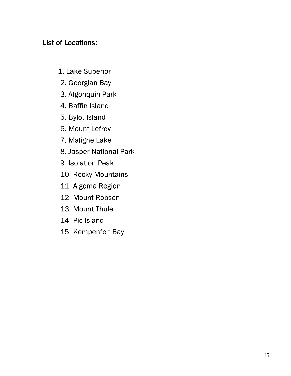### **List of Locations:**

- 1. Lake Superior
- 2. Georgian Bay
- 3. Algonquin Park
- 4. Baffin Island
- 5. Bylot Island
- 6. Mount Lefroy
- 7. Maligne Lake
- 8. Jasper National Park
- 9. Isolation Peak
- 10. Rocky Mountains
- 11. Algoma Region
- 12. Mount Robson
- 13. Mount Thule
- 14. Pic Island
- 15. Kempenfelt Bay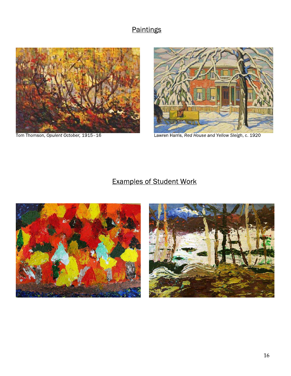### Paintings



Tom Thomson, Opulent October, 1915-16



Lawren Harris, Red House and Yellow Sleigh, c. 1920

## **Examples of Student Work**



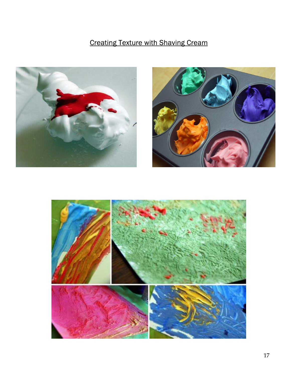## **Creating Texture with Shaving Cream**





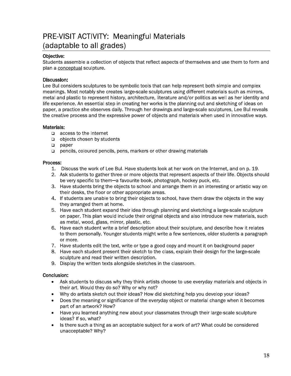### **PRE-VISIT ACTIVITY: Meaningful Materials** (adaptable to all grades)

#### Obiective:

Students assemble a collection of objects that reflect aspects of themselves and use them to form and plan a conceptual sculpture.

#### Discussion:

Lee Bul considers sculptures to be symbolic tools that can help represent both simple and complex meanings. Most notably she creates large-scale sculptures using different materials such as mirrors, metal and plastic to represent history, architecture, literature and/or politics as well as her identity and life experience. An essential step in creating her works is the planning out and sketching of ideas on paper, a practice she observes daily. Through her drawings and large-scale sculptures, Lee Bul reveals the creative process and the expressive power of objects and materials when used in innovative ways.

#### Materials:

- $\Box$  access to the Internet
- $\Box$  objects chosen by students
- $\Box$  paper
- $\Box$  pencils, coloured pencils, pens, markers or other drawing materials

#### Process:

- 1. Discuss the work of Lee Bul. Have students look at her work on the Internet, and on p. 19.
- 2. Ask students to gather three or more objects that represent aspects of their life. Objects should be very specific to them-a favourite book, photograph, hockey puck, etc.
- 3. Have students bring the objects to school and arrange them in an interesting or artistic way on their desks, the floor or other appropriate areas.
- 4. If students are unable to bring their objects to school, have them draw the objects in the way they arranged them at home.
- 5. Have each student expand their idea through planning and sketching a large-scale sculpture on paper. This plan would include their original objects and also introduce new materials, such as metal, wood, glass, mirror, plastic, etc.
- 6. Have each student write a brief description about their sculpture, and describe how it relates to them personally. Younger students might write a few sentences, older students a paragraph or more.
- 7. Have students edit the text, write or type a good copy and mount it on background paper
- 8. Have each student present their sketch to the class, explain their design for the large-scale sculpture and read their written description.
- 9. Display the written texts alongside sketches in the classroom.

- Ask students to discuss why they think artists choose to use everyday materials and objects in  $\bullet$ their art. Would they do so? Why or why not?
- Why do artists sketch out their ideas? How did sketching help you develop your ideas?  $\bullet$
- Does the meaning or significance of the everyday object or material change when it becomes  $\bullet$ part of an artwork? How?
- Have you learned anything new about your classmates through their large-scale sculpture  $\bullet$ ideas? If so, what?
- Is there such a thing as an acceptable subject for a work of art? What could be considered  $\bullet$ unacceptable? Why?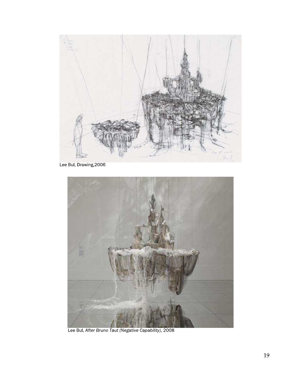

Lee Bul, Drawing, 2006



Lee Bul, After Bruno Taut (Negative Capability), 2008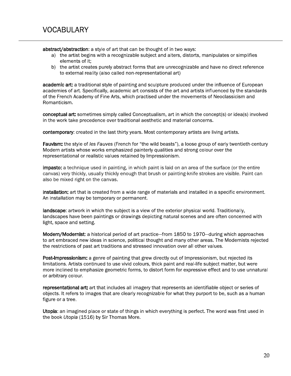abstract/abstraction: a style of art that can be thought of in two ways:

- a) the artist begins with a recognizable subject and alters, distorts, manipulates or simplifies elements of it:
- b) the artist creates purely abstract forms that are unrecognizable and have no direct reference to external reality (also called non-representational art)

academic art: a traditional style of painting and sculpture produced under the influence of European academies of art. Specifically, academic art consists of the art and artists influenced by the standards of the French Academy of Fine Arts, which practised under the movements of Neoclassicism and Romanticism.

conceptual art: sometimes simply called Conceptualism, art in which the concept(s) or idea(s) involved in the work take precedence over traditional aesthetic and material concerns.

contemporary: created in the last thirty years. Most contemporary artists are living artists.

Fauvism: the style of les Fauves (French for "the wild beasts"), a loose group of early twentieth-century Modern artists whose works emphasized painterly qualities and strong colour over the representational or realistic values retained by Impressionism.

**impasto:** a technique used in painting, in which paint is laid on an area of the surface (or the entire canvas) very thickly, usually thickly enough that brush or painting-knife strokes are visible. Paint can also be mixed right on the canvas.

installation: art that is created from a wide range of materials and installed in a specific environment. An installation may be temporary or permanent.

landscape: artwork in which the subject is a view of the exterior physical world. Traditionally, landscapes have been paintings or drawings depicting natural scenes and are often concerned with light, space and setting.

**Modern/Modernist:** a historical period of art practice—from 1850 to 1970—during which approaches to art embraced new ideas in science, political thought and many other areas. The Modernists rejected the restrictions of past art traditions and stressed innovation over all other values.

Post-Impressionism: a genre of painting that grew directly out of Impressionism, but rejected its limitations. Artists continued to use vivid colours, thick paint and real-life subject matter, but were more inclined to emphasize geometric forms, to distort form for expressive effect and to use unnatural or arbitrary colour.

representational art: art that includes all imagery that represents an identifiable object or series of objects. It refers to images that are clearly recognizable for what they purport to be, such as a human figure or a tree.

Utopia: an imagined place or state of things in which everything is perfect. The word was first used in the book Utopia (1516) by Sir Thomas More.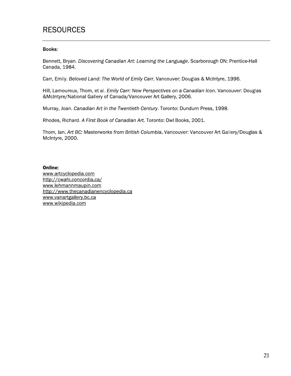### **RESOURCES**

#### **Books:**

Bennett, Bryan. Discovering Canadian Art: Learning the Language. Scarborough ON: Prentice-Hall Canada, 1984.

Carr, Emily. Beloved Land: The World of Emily Carr. Vancouver: Douglas & McIntyre, 1996.

Hill, Lamoureux, Thom, et al. Emily Carr: New Perspectives on a Canadian Icon. Vancouver: Douglas &McIntyre/National Gallery of Canada/Vancouver Art Gallery, 2006.

Murray, Joan. Canadian Art in the Twentieth Century. Toronto: Dundurn Press, 1998.

Rhodes, Richard. A First Book of Canadian Art. Toronto: Owl Books, 2001.

Thom, Ian. Art BC: Masterworks from British Columbia. Vancouver: Vancouver Art Gallery/Douglas & McIntyre, 2000.

#### Online:

www.artcyclopedia.com http://cwahi.concordia.ca/ www.lehmannmaupin.com http://www.thecanadianencyclopedia.ca www.vanartgallery.bc.ca www.wikipedia.com